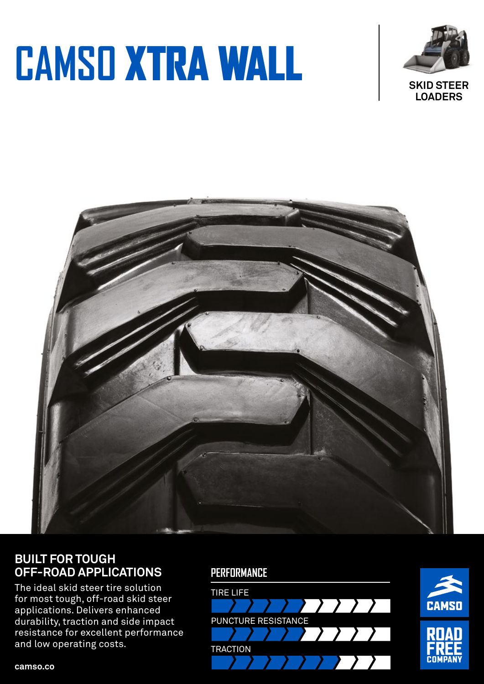# **CAMSO** XTRA WALL





### **BUILT FOR TOUGH OFF-ROAD APPLICATIONS**

The ideal skid steer tire solution for most tough, off-road skid steer applications. Delivers enhanced durability, traction and side impact resistance for excellent performance and low operating costs.





**camso.co**